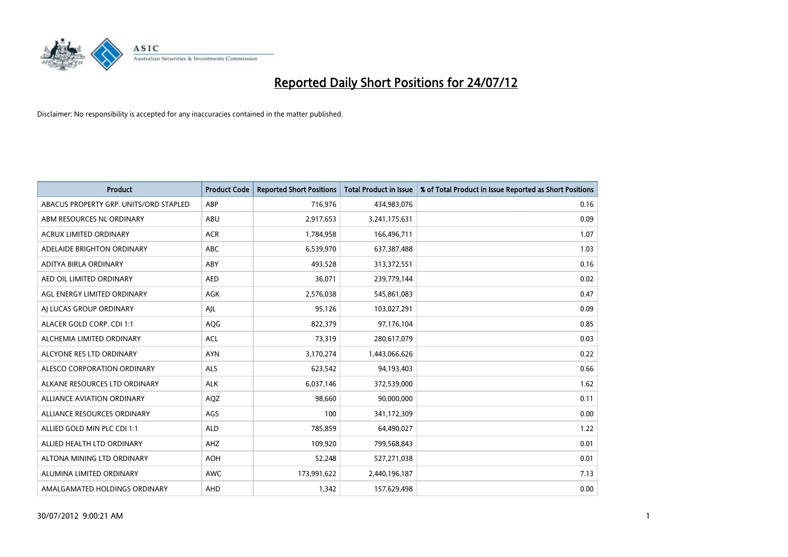

| <b>Product</b>                         | <b>Product Code</b> | <b>Reported Short Positions</b> | <b>Total Product in Issue</b> | % of Total Product in Issue Reported as Short Positions |
|----------------------------------------|---------------------|---------------------------------|-------------------------------|---------------------------------------------------------|
| ABACUS PROPERTY GRP. UNITS/ORD STAPLED | ABP                 | 716,976                         | 434,983,076                   | 0.16                                                    |
| ABM RESOURCES NL ORDINARY              | ABU                 | 2,917,653                       | 3,241,175,631                 | 0.09                                                    |
| <b>ACRUX LIMITED ORDINARY</b>          | <b>ACR</b>          | 1,784,958                       | 166,496,711                   | 1.07                                                    |
| ADELAIDE BRIGHTON ORDINARY             | <b>ABC</b>          | 6,539,970                       | 637,387,488                   | 1.03                                                    |
| <b>ADITYA BIRLA ORDINARY</b>           | ABY                 | 493,528                         | 313,372,551                   | 0.16                                                    |
| AED OIL LIMITED ORDINARY               | <b>AED</b>          | 36,071                          | 239,779,144                   | 0.02                                                    |
| AGL ENERGY LIMITED ORDINARY            | AGK                 | 2,576,038                       | 545,861,083                   | 0.47                                                    |
| AI LUCAS GROUP ORDINARY                | AJL                 | 95,126                          | 103,027,291                   | 0.09                                                    |
| ALACER GOLD CORP. CDI 1:1              | AQG                 | 822,379                         | 97,176,104                    | 0.85                                                    |
| ALCHEMIA LIMITED ORDINARY              | <b>ACL</b>          | 73,319                          | 280,617,079                   | 0.03                                                    |
| ALCYONE RES LTD ORDINARY               | <b>AYN</b>          | 3,170,274                       | 1,443,066,626                 | 0.22                                                    |
| <b>ALESCO CORPORATION ORDINARY</b>     | <b>ALS</b>          | 623,542                         | 94,193,403                    | 0.66                                                    |
| ALKANE RESOURCES LTD ORDINARY          | <b>ALK</b>          | 6,037,146                       | 372,539,000                   | 1.62                                                    |
| <b>ALLIANCE AVIATION ORDINARY</b>      | AQZ                 | 98,660                          | 90,000,000                    | 0.11                                                    |
| ALLIANCE RESOURCES ORDINARY            | AGS                 | 100                             | 341,172,309                   | 0.00                                                    |
| ALLIED GOLD MIN PLC CDI 1:1            | <b>ALD</b>          | 785,859                         | 64,490,027                    | 1.22                                                    |
| ALLIED HEALTH LTD ORDINARY             | AHZ                 | 109,920                         | 799,568,843                   | 0.01                                                    |
| ALTONA MINING LTD ORDINARY             | <b>AOH</b>          | 52,248                          | 527,271,038                   | 0.01                                                    |
| ALUMINA LIMITED ORDINARY               | <b>AWC</b>          | 173,991,622                     | 2,440,196,187                 | 7.13                                                    |
| AMALGAMATED HOLDINGS ORDINARY          | AHD                 | 1,342                           | 157,629,498                   | 0.00                                                    |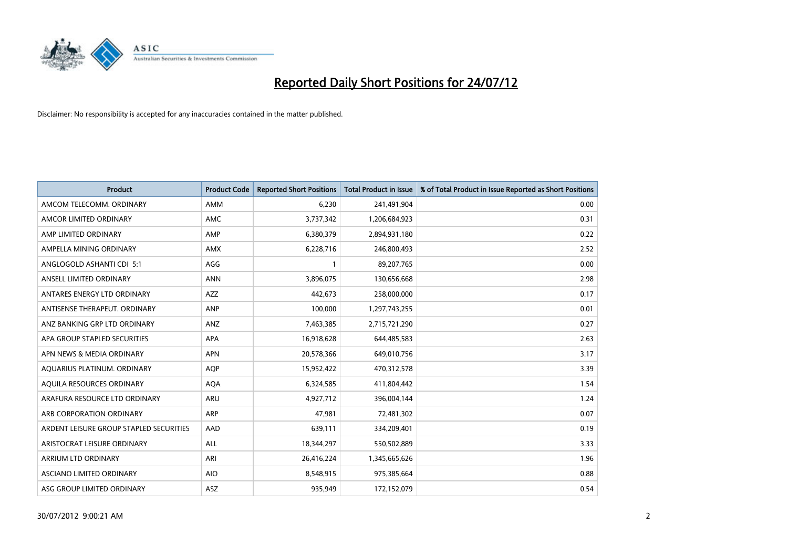

| <b>Product</b>                          | <b>Product Code</b> | <b>Reported Short Positions</b> | <b>Total Product in Issue</b> | % of Total Product in Issue Reported as Short Positions |
|-----------------------------------------|---------------------|---------------------------------|-------------------------------|---------------------------------------------------------|
| AMCOM TELECOMM, ORDINARY                | <b>AMM</b>          | 6,230                           | 241,491,904                   | 0.00                                                    |
| AMCOR LIMITED ORDINARY                  | <b>AMC</b>          | 3,737,342                       | 1,206,684,923                 | 0.31                                                    |
| AMP LIMITED ORDINARY                    | AMP                 | 6,380,379                       | 2,894,931,180                 | 0.22                                                    |
| AMPELLA MINING ORDINARY                 | <b>AMX</b>          | 6,228,716                       | 246,800,493                   | 2.52                                                    |
| ANGLOGOLD ASHANTI CDI 5:1               | AGG                 |                                 | 89,207,765                    | 0.00                                                    |
| ANSELL LIMITED ORDINARY                 | <b>ANN</b>          | 3,896,075                       | 130,656,668                   | 2.98                                                    |
| ANTARES ENERGY LTD ORDINARY             | <b>AZZ</b>          | 442.673                         | 258,000,000                   | 0.17                                                    |
| ANTISENSE THERAPEUT, ORDINARY           | <b>ANP</b>          | 100,000                         | 1,297,743,255                 | 0.01                                                    |
| ANZ BANKING GRP LTD ORDINARY            | ANZ                 | 7,463,385                       | 2,715,721,290                 | 0.27                                                    |
| APA GROUP STAPLED SECURITIES            | <b>APA</b>          | 16,918,628                      | 644,485,583                   | 2.63                                                    |
| APN NEWS & MEDIA ORDINARY               | <b>APN</b>          | 20,578,366                      | 649,010,756                   | 3.17                                                    |
| AQUARIUS PLATINUM. ORDINARY             | <b>AQP</b>          | 15,952,422                      | 470,312,578                   | 3.39                                                    |
| AQUILA RESOURCES ORDINARY               | <b>AQA</b>          | 6,324,585                       | 411,804,442                   | 1.54                                                    |
| ARAFURA RESOURCE LTD ORDINARY           | ARU                 | 4,927,712                       | 396,004,144                   | 1.24                                                    |
| ARB CORPORATION ORDINARY                | ARP                 | 47,981                          | 72,481,302                    | 0.07                                                    |
| ARDENT LEISURE GROUP STAPLED SECURITIES | AAD                 | 639,111                         | 334,209,401                   | 0.19                                                    |
| ARISTOCRAT LEISURE ORDINARY             | <b>ALL</b>          | 18,344,297                      | 550,502,889                   | 3.33                                                    |
| ARRIUM LTD ORDINARY                     | ARI                 | 26,416,224                      | 1,345,665,626                 | 1.96                                                    |
| <b>ASCIANO LIMITED ORDINARY</b>         | <b>AIO</b>          | 8,548,915                       | 975,385,664                   | 0.88                                                    |
| ASG GROUP LIMITED ORDINARY              | <b>ASZ</b>          | 935.949                         | 172,152,079                   | 0.54                                                    |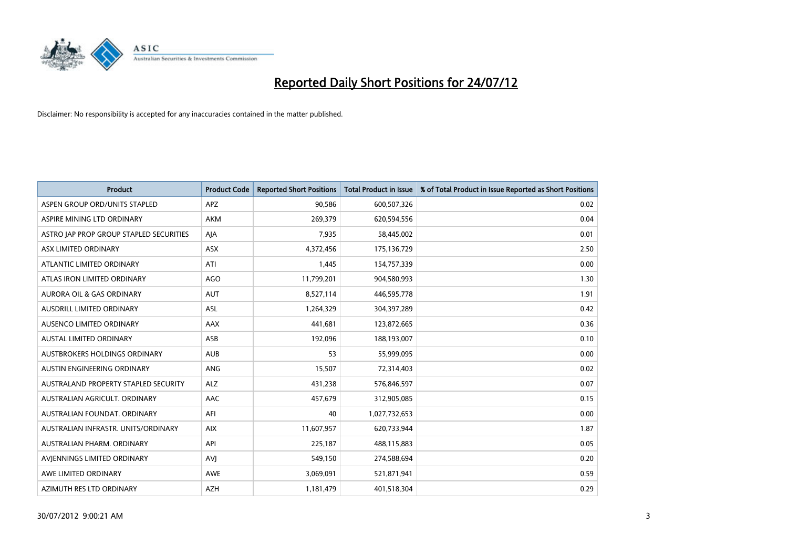

| <b>Product</b>                          | <b>Product Code</b> | <b>Reported Short Positions</b> | <b>Total Product in Issue</b> | % of Total Product in Issue Reported as Short Positions |
|-----------------------------------------|---------------------|---------------------------------|-------------------------------|---------------------------------------------------------|
| ASPEN GROUP ORD/UNITS STAPLED           | APZ                 | 90,586                          | 600,507,326                   | 0.02                                                    |
| ASPIRE MINING LTD ORDINARY              | <b>AKM</b>          | 269,379                         | 620,594,556                   | 0.04                                                    |
| ASTRO JAP PROP GROUP STAPLED SECURITIES | AJA                 | 7,935                           | 58,445,002                    | 0.01                                                    |
| ASX LIMITED ORDINARY                    | <b>ASX</b>          | 4,372,456                       | 175,136,729                   | 2.50                                                    |
| ATLANTIC LIMITED ORDINARY               | ATI                 | 1,445                           | 154,757,339                   | 0.00                                                    |
| ATLAS IRON LIMITED ORDINARY             | <b>AGO</b>          | 11,799,201                      | 904,580,993                   | 1.30                                                    |
| <b>AURORA OIL &amp; GAS ORDINARY</b>    | <b>AUT</b>          | 8,527,114                       | 446,595,778                   | 1.91                                                    |
| <b>AUSDRILL LIMITED ORDINARY</b>        | <b>ASL</b>          | 1,264,329                       | 304,397,289                   | 0.42                                                    |
| AUSENCO LIMITED ORDINARY                | AAX                 | 441,681                         | 123,872,665                   | 0.36                                                    |
| <b>AUSTAL LIMITED ORDINARY</b>          | ASB                 | 192,096                         | 188,193,007                   | 0.10                                                    |
| AUSTBROKERS HOLDINGS ORDINARY           | <b>AUB</b>          | 53                              | 55,999,095                    | 0.00                                                    |
| AUSTIN ENGINEERING ORDINARY             | ANG                 | 15,507                          | 72,314,403                    | 0.02                                                    |
| AUSTRALAND PROPERTY STAPLED SECURITY    | <b>ALZ</b>          | 431,238                         | 576,846,597                   | 0.07                                                    |
| AUSTRALIAN AGRICULT, ORDINARY           | AAC                 | 457,679                         | 312,905,085                   | 0.15                                                    |
| AUSTRALIAN FOUNDAT, ORDINARY            | AFI                 | 40                              | 1,027,732,653                 | 0.00                                                    |
| AUSTRALIAN INFRASTR, UNITS/ORDINARY     | <b>AIX</b>          | 11,607,957                      | 620,733,944                   | 1.87                                                    |
| AUSTRALIAN PHARM, ORDINARY              | API                 | 225,187                         | 488,115,883                   | 0.05                                                    |
| AVIENNINGS LIMITED ORDINARY             | AVI                 | 549,150                         | 274,588,694                   | 0.20                                                    |
| AWE LIMITED ORDINARY                    | <b>AWE</b>          | 3,069,091                       | 521,871,941                   | 0.59                                                    |
| AZIMUTH RES LTD ORDINARY                | <b>AZH</b>          | 1,181,479                       | 401,518,304                   | 0.29                                                    |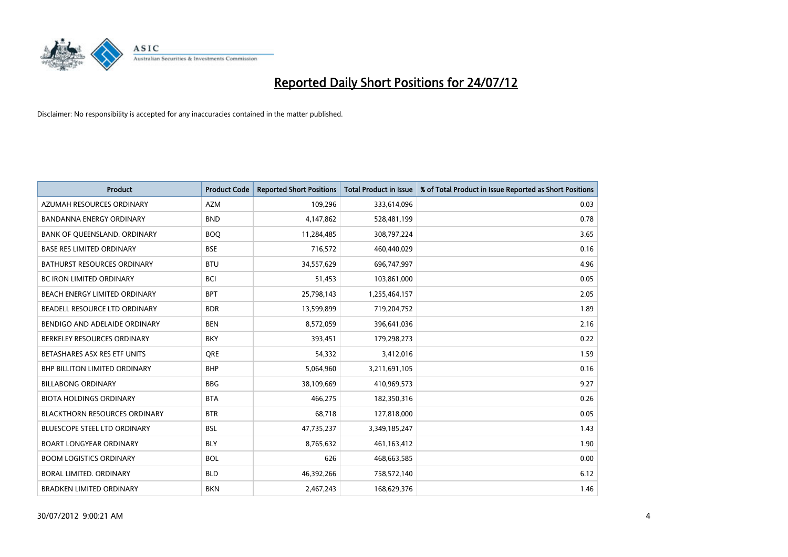

| <b>Product</b>                       | <b>Product Code</b> | <b>Reported Short Positions</b> | <b>Total Product in Issue</b> | % of Total Product in Issue Reported as Short Positions |
|--------------------------------------|---------------------|---------------------------------|-------------------------------|---------------------------------------------------------|
| AZUMAH RESOURCES ORDINARY            | <b>AZM</b>          | 109,296                         | 333,614,096                   | 0.03                                                    |
| BANDANNA ENERGY ORDINARY             | <b>BND</b>          | 4,147,862                       | 528,481,199                   | 0.78                                                    |
| BANK OF QUEENSLAND. ORDINARY         | <b>BOO</b>          | 11,284,485                      | 308,797,224                   | 3.65                                                    |
| <b>BASE RES LIMITED ORDINARY</b>     | <b>BSE</b>          | 716,572                         | 460,440,029                   | 0.16                                                    |
| <b>BATHURST RESOURCES ORDINARY</b>   | <b>BTU</b>          | 34,557,629                      | 696,747,997                   | 4.96                                                    |
| <b>BC IRON LIMITED ORDINARY</b>      | <b>BCI</b>          | 51,453                          | 103,861,000                   | 0.05                                                    |
| <b>BEACH ENERGY LIMITED ORDINARY</b> | <b>BPT</b>          | 25,798,143                      | 1,255,464,157                 | 2.05                                                    |
| BEADELL RESOURCE LTD ORDINARY        | <b>BDR</b>          | 13,599,899                      | 719,204,752                   | 1.89                                                    |
| BENDIGO AND ADELAIDE ORDINARY        | <b>BEN</b>          | 8,572,059                       | 396,641,036                   | 2.16                                                    |
| BERKELEY RESOURCES ORDINARY          | <b>BKY</b>          | 393,451                         | 179,298,273                   | 0.22                                                    |
| BETASHARES ASX RES ETF UNITS         | <b>ORE</b>          | 54,332                          | 3,412,016                     | 1.59                                                    |
| <b>BHP BILLITON LIMITED ORDINARY</b> | <b>BHP</b>          | 5,064,960                       | 3,211,691,105                 | 0.16                                                    |
| <b>BILLABONG ORDINARY</b>            | <b>BBG</b>          | 38,109,669                      | 410,969,573                   | 9.27                                                    |
| <b>BIOTA HOLDINGS ORDINARY</b>       | <b>BTA</b>          | 466,275                         | 182,350,316                   | 0.26                                                    |
| <b>BLACKTHORN RESOURCES ORDINARY</b> | <b>BTR</b>          | 68,718                          | 127,818,000                   | 0.05                                                    |
| BLUESCOPE STEEL LTD ORDINARY         | <b>BSL</b>          | 47,735,237                      | 3,349,185,247                 | 1.43                                                    |
| <b>BOART LONGYEAR ORDINARY</b>       | <b>BLY</b>          | 8,765,632                       | 461,163,412                   | 1.90                                                    |
| <b>BOOM LOGISTICS ORDINARY</b>       | <b>BOL</b>          | 626                             | 468,663,585                   | 0.00                                                    |
| BORAL LIMITED, ORDINARY              | <b>BLD</b>          | 46,392,266                      | 758,572,140                   | 6.12                                                    |
| <b>BRADKEN LIMITED ORDINARY</b>      | <b>BKN</b>          | 2,467,243                       | 168,629,376                   | 1.46                                                    |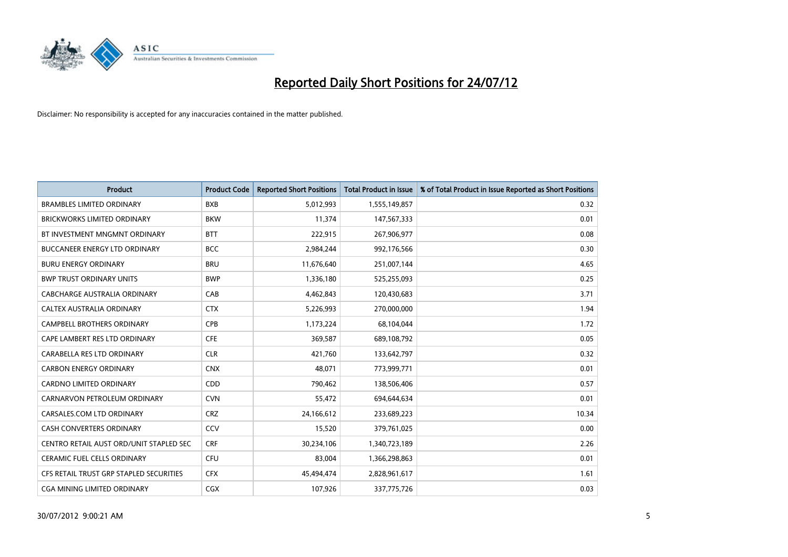

| <b>Product</b>                          | <b>Product Code</b> | <b>Reported Short Positions</b> | <b>Total Product in Issue</b> | % of Total Product in Issue Reported as Short Positions |
|-----------------------------------------|---------------------|---------------------------------|-------------------------------|---------------------------------------------------------|
| <b>BRAMBLES LIMITED ORDINARY</b>        | <b>BXB</b>          | 5,012,993                       | 1,555,149,857                 | 0.32                                                    |
| <b>BRICKWORKS LIMITED ORDINARY</b>      | <b>BKW</b>          | 11,374                          | 147,567,333                   | 0.01                                                    |
| BT INVESTMENT MNGMNT ORDINARY           | <b>BTT</b>          | 222,915                         | 267,906,977                   | 0.08                                                    |
| <b>BUCCANEER ENERGY LTD ORDINARY</b>    | <b>BCC</b>          | 2,984,244                       | 992,176,566                   | 0.30                                                    |
| <b>BURU ENERGY ORDINARY</b>             | <b>BRU</b>          | 11,676,640                      | 251,007,144                   | 4.65                                                    |
| <b>BWP TRUST ORDINARY UNITS</b>         | <b>BWP</b>          | 1,336,180                       | 525,255,093                   | 0.25                                                    |
| CABCHARGE AUSTRALIA ORDINARY            | CAB                 | 4,462,843                       | 120,430,683                   | 3.71                                                    |
| CALTEX AUSTRALIA ORDINARY               | <b>CTX</b>          | 5,226,993                       | 270,000,000                   | 1.94                                                    |
| <b>CAMPBELL BROTHERS ORDINARY</b>       | <b>CPB</b>          | 1,173,224                       | 68,104,044                    | 1.72                                                    |
| CAPE LAMBERT RES LTD ORDINARY           | <b>CFE</b>          | 369,587                         | 689,108,792                   | 0.05                                                    |
| CARABELLA RES LTD ORDINARY              | <b>CLR</b>          | 421,760                         | 133,642,797                   | 0.32                                                    |
| <b>CARBON ENERGY ORDINARY</b>           | <b>CNX</b>          | 48,071                          | 773,999,771                   | 0.01                                                    |
| CARDNO LIMITED ORDINARY                 | CDD                 | 790,462                         | 138,506,406                   | 0.57                                                    |
| CARNARVON PETROLEUM ORDINARY            | <b>CVN</b>          | 55,472                          | 694,644,634                   | 0.01                                                    |
| CARSALES.COM LTD ORDINARY               | <b>CRZ</b>          | 24,166,612                      | 233,689,223                   | 10.34                                                   |
| CASH CONVERTERS ORDINARY                | CCV                 | 15,520                          | 379,761,025                   | 0.00                                                    |
| CENTRO RETAIL AUST ORD/UNIT STAPLED SEC | <b>CRF</b>          | 30,234,106                      | 1,340,723,189                 | 2.26                                                    |
| <b>CERAMIC FUEL CELLS ORDINARY</b>      | <b>CFU</b>          | 83,004                          | 1,366,298,863                 | 0.01                                                    |
| CFS RETAIL TRUST GRP STAPLED SECURITIES | <b>CFX</b>          | 45,494,474                      | 2,828,961,617                 | 1.61                                                    |
| CGA MINING LIMITED ORDINARY             | <b>CGX</b>          | 107,926                         | 337,775,726                   | 0.03                                                    |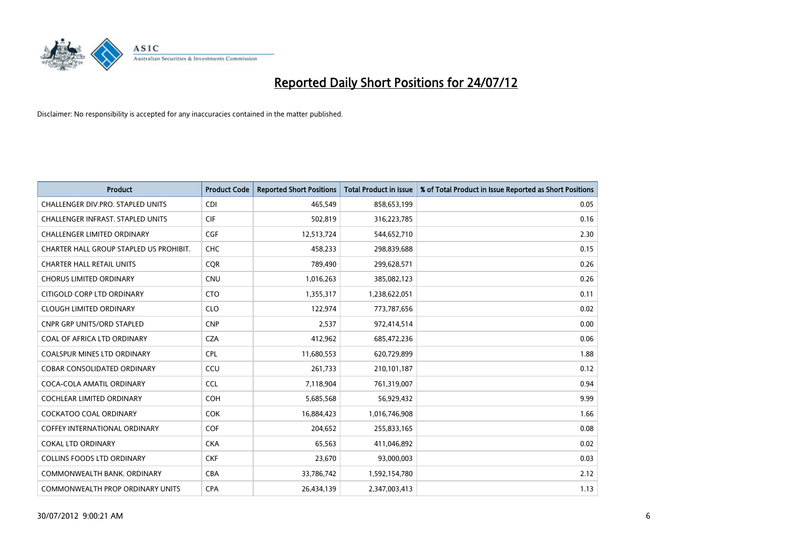

| <b>Product</b>                          | <b>Product Code</b> | <b>Reported Short Positions</b> | <b>Total Product in Issue</b> | % of Total Product in Issue Reported as Short Positions |
|-----------------------------------------|---------------------|---------------------------------|-------------------------------|---------------------------------------------------------|
| CHALLENGER DIV.PRO. STAPLED UNITS       | <b>CDI</b>          | 465,549                         | 858,653,199                   | 0.05                                                    |
| CHALLENGER INFRAST. STAPLED UNITS       | <b>CIF</b>          | 502,819                         | 316,223,785                   | 0.16                                                    |
| <b>CHALLENGER LIMITED ORDINARY</b>      | <b>CGF</b>          | 12,513,724                      | 544,652,710                   | 2.30                                                    |
| CHARTER HALL GROUP STAPLED US PROHIBIT. | <b>CHC</b>          | 458,233                         | 298,839,688                   | 0.15                                                    |
| <b>CHARTER HALL RETAIL UNITS</b>        | <b>COR</b>          | 789,490                         | 299,628,571                   | 0.26                                                    |
| <b>CHORUS LIMITED ORDINARY</b>          | CNU                 | 1,016,263                       | 385,082,123                   | 0.26                                                    |
| CITIGOLD CORP LTD ORDINARY              | <b>CTO</b>          | 1,355,317                       | 1,238,622,051                 | 0.11                                                    |
| <b>CLOUGH LIMITED ORDINARY</b>          | <b>CLO</b>          | 122,974                         | 773,787,656                   | 0.02                                                    |
| <b>CNPR GRP UNITS/ORD STAPLED</b>       | <b>CNP</b>          | 2,537                           | 972,414,514                   | 0.00                                                    |
| COAL OF AFRICA LTD ORDINARY             | <b>CZA</b>          | 412,962                         | 685,472,236                   | 0.06                                                    |
| COALSPUR MINES LTD ORDINARY             | <b>CPL</b>          | 11,680,553                      | 620,729,899                   | 1.88                                                    |
| <b>COBAR CONSOLIDATED ORDINARY</b>      | CCU                 | 261,733                         | 210,101,187                   | 0.12                                                    |
| COCA-COLA AMATIL ORDINARY               | <b>CCL</b>          | 7,118,904                       | 761,319,007                   | 0.94                                                    |
| <b>COCHLEAR LIMITED ORDINARY</b>        | <b>COH</b>          | 5,685,568                       | 56,929,432                    | 9.99                                                    |
| <b>COCKATOO COAL ORDINARY</b>           | <b>COK</b>          | 16,884,423                      | 1,016,746,908                 | 1.66                                                    |
| <b>COFFEY INTERNATIONAL ORDINARY</b>    | <b>COF</b>          | 204,652                         | 255,833,165                   | 0.08                                                    |
| <b>COKAL LTD ORDINARY</b>               | <b>CKA</b>          | 65,563                          | 411,046,892                   | 0.02                                                    |
| <b>COLLINS FOODS LTD ORDINARY</b>       | <b>CKF</b>          | 23,670                          | 93,000,003                    | 0.03                                                    |
| COMMONWEALTH BANK, ORDINARY             | <b>CBA</b>          | 33,786,742                      | 1,592,154,780                 | 2.12                                                    |
| COMMONWEALTH PROP ORDINARY UNITS        | <b>CPA</b>          | 26,434,139                      | 2,347,003,413                 | 1.13                                                    |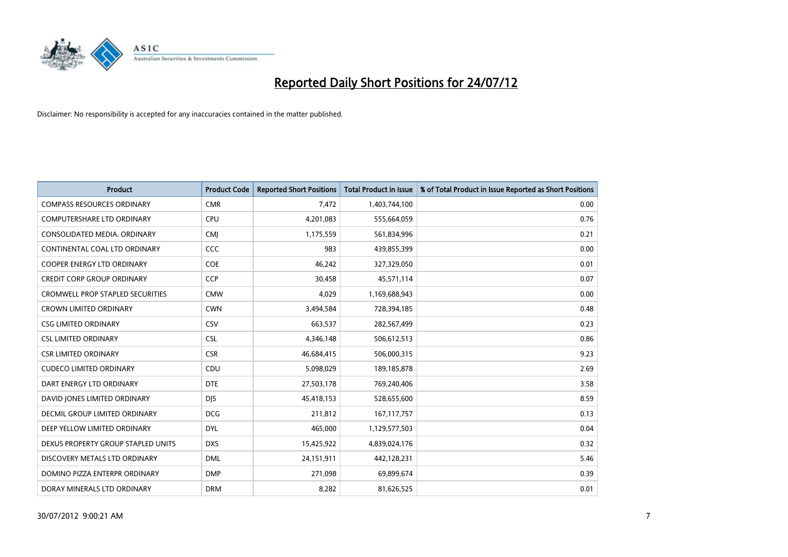

| <b>Product</b>                          | <b>Product Code</b> | <b>Reported Short Positions</b> | <b>Total Product in Issue</b> | % of Total Product in Issue Reported as Short Positions |
|-----------------------------------------|---------------------|---------------------------------|-------------------------------|---------------------------------------------------------|
| <b>COMPASS RESOURCES ORDINARY</b>       | <b>CMR</b>          | 7,472                           | 1,403,744,100                 | 0.00                                                    |
| <b>COMPUTERSHARE LTD ORDINARY</b>       | <b>CPU</b>          | 4,201,083                       | 555,664,059                   | 0.76                                                    |
| CONSOLIDATED MEDIA, ORDINARY            | <b>CMI</b>          | 1,175,559                       | 561,834,996                   | 0.21                                                    |
| CONTINENTAL COAL LTD ORDINARY           | CCC                 | 983                             | 439,855,399                   | 0.00                                                    |
| <b>COOPER ENERGY LTD ORDINARY</b>       | <b>COE</b>          | 46,242                          | 327,329,050                   | 0.01                                                    |
| <b>CREDIT CORP GROUP ORDINARY</b>       | <b>CCP</b>          | 30,458                          | 45,571,114                    | 0.07                                                    |
| <b>CROMWELL PROP STAPLED SECURITIES</b> | <b>CMW</b>          | 4.029                           | 1,169,688,943                 | 0.00                                                    |
| <b>CROWN LIMITED ORDINARY</b>           | <b>CWN</b>          | 3,494,584                       | 728,394,185                   | 0.48                                                    |
| <b>CSG LIMITED ORDINARY</b>             | CSV                 | 663,537                         | 282,567,499                   | 0.23                                                    |
| <b>CSL LIMITED ORDINARY</b>             | <b>CSL</b>          | 4,346,148                       | 506,612,513                   | 0.86                                                    |
| <b>CSR LIMITED ORDINARY</b>             | <b>CSR</b>          | 46,684,415                      | 506,000,315                   | 9.23                                                    |
| <b>CUDECO LIMITED ORDINARY</b>          | CDU                 | 5,098,029                       | 189, 185, 878                 | 2.69                                                    |
| DART ENERGY LTD ORDINARY                | <b>DTE</b>          | 27,503,178                      | 769,240,406                   | 3.58                                                    |
| DAVID JONES LIMITED ORDINARY            | <b>DIS</b>          | 45,418,153                      | 528,655,600                   | 8.59                                                    |
| DECMIL GROUP LIMITED ORDINARY           | <b>DCG</b>          | 211,812                         | 167, 117, 757                 | 0.13                                                    |
| DEEP YELLOW LIMITED ORDINARY            | <b>DYL</b>          | 465,000                         | 1,129,577,503                 | 0.04                                                    |
| DEXUS PROPERTY GROUP STAPLED UNITS      | <b>DXS</b>          | 15,425,922                      | 4,839,024,176                 | 0.32                                                    |
| DISCOVERY METALS LTD ORDINARY           | <b>DML</b>          | 24,151,911                      | 442,128,231                   | 5.46                                                    |
| DOMINO PIZZA ENTERPR ORDINARY           | <b>DMP</b>          | 271,098                         | 69,899,674                    | 0.39                                                    |
| DORAY MINERALS LTD ORDINARY             | <b>DRM</b>          | 8.282                           | 81,626,525                    | 0.01                                                    |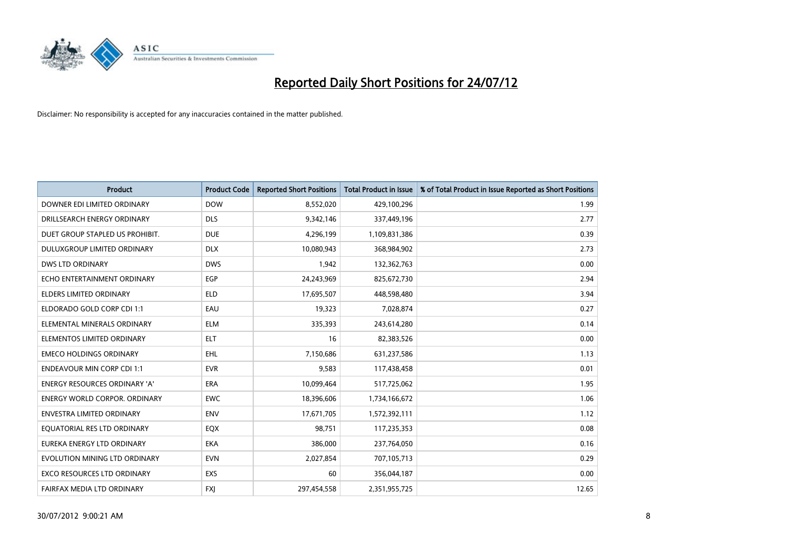

| <b>Product</b>                       | <b>Product Code</b> | <b>Reported Short Positions</b> | <b>Total Product in Issue</b> | % of Total Product in Issue Reported as Short Positions |
|--------------------------------------|---------------------|---------------------------------|-------------------------------|---------------------------------------------------------|
| DOWNER EDI LIMITED ORDINARY          | <b>DOW</b>          | 8,552,020                       | 429,100,296                   | 1.99                                                    |
| DRILLSEARCH ENERGY ORDINARY          | <b>DLS</b>          | 9,342,146                       | 337,449,196                   | 2.77                                                    |
| DUET GROUP STAPLED US PROHIBIT.      | <b>DUE</b>          | 4,296,199                       | 1,109,831,386                 | 0.39                                                    |
| DULUXGROUP LIMITED ORDINARY          | <b>DLX</b>          | 10,080,943                      | 368,984,902                   | 2.73                                                    |
| <b>DWS LTD ORDINARY</b>              | <b>DWS</b>          | 1,942                           | 132,362,763                   | 0.00                                                    |
| ECHO ENTERTAINMENT ORDINARY          | EGP                 | 24,243,969                      | 825,672,730                   | 2.94                                                    |
| <b>ELDERS LIMITED ORDINARY</b>       | <b>ELD</b>          | 17,695,507                      | 448,598,480                   | 3.94                                                    |
| ELDORADO GOLD CORP CDI 1:1           | EAU                 | 19,323                          | 7,028,874                     | 0.27                                                    |
| ELEMENTAL MINERALS ORDINARY          | <b>ELM</b>          | 335,393                         | 243,614,280                   | 0.14                                                    |
| ELEMENTOS LIMITED ORDINARY           | <b>ELT</b>          | 16                              | 82,383,526                    | 0.00                                                    |
| <b>EMECO HOLDINGS ORDINARY</b>       | <b>EHL</b>          | 7,150,686                       | 631,237,586                   | 1.13                                                    |
| <b>ENDEAVOUR MIN CORP CDI 1:1</b>    | <b>EVR</b>          | 9,583                           | 117,438,458                   | 0.01                                                    |
| ENERGY RESOURCES ORDINARY 'A'        | <b>ERA</b>          | 10,099,464                      | 517,725,062                   | 1.95                                                    |
| <b>ENERGY WORLD CORPOR, ORDINARY</b> | <b>EWC</b>          | 18,396,606                      | 1,734,166,672                 | 1.06                                                    |
| <b>ENVESTRA LIMITED ORDINARY</b>     | <b>ENV</b>          | 17,671,705                      | 1,572,392,111                 | 1.12                                                    |
| EQUATORIAL RES LTD ORDINARY          | EQX                 | 98,751                          | 117,235,353                   | 0.08                                                    |
| EUREKA ENERGY LTD ORDINARY           | <b>EKA</b>          | 386,000                         | 237,764,050                   | 0.16                                                    |
| EVOLUTION MINING LTD ORDINARY        | <b>EVN</b>          | 2,027,854                       | 707,105,713                   | 0.29                                                    |
| <b>EXCO RESOURCES LTD ORDINARY</b>   | <b>EXS</b>          | 60                              | 356,044,187                   | 0.00                                                    |
| FAIRFAX MEDIA LTD ORDINARY           | <b>FXI</b>          | 297,454,558                     | 2,351,955,725                 | 12.65                                                   |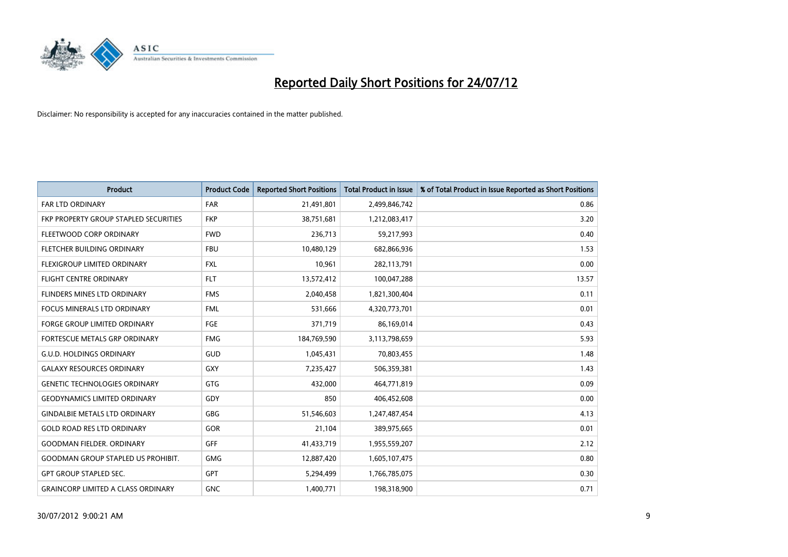

| <b>Product</b>                            | <b>Product Code</b> | <b>Reported Short Positions</b> | <b>Total Product in Issue</b> | % of Total Product in Issue Reported as Short Positions |
|-------------------------------------------|---------------------|---------------------------------|-------------------------------|---------------------------------------------------------|
| <b>FAR LTD ORDINARY</b>                   | <b>FAR</b>          | 21,491,801                      | 2,499,846,742                 | 0.86                                                    |
| FKP PROPERTY GROUP STAPLED SECURITIES     | <b>FKP</b>          | 38,751,681                      | 1,212,083,417                 | 3.20                                                    |
| FLEETWOOD CORP ORDINARY                   | <b>FWD</b>          | 236,713                         | 59,217,993                    | 0.40                                                    |
| FLETCHER BUILDING ORDINARY                | <b>FBU</b>          | 10,480,129                      | 682,866,936                   | 1.53                                                    |
| <b>FLEXIGROUP LIMITED ORDINARY</b>        | <b>FXL</b>          | 10,961                          | 282,113,791                   | 0.00                                                    |
| <b>FLIGHT CENTRE ORDINARY</b>             | <b>FLT</b>          | 13,572,412                      | 100,047,288                   | 13.57                                                   |
| <b>FLINDERS MINES LTD ORDINARY</b>        | <b>FMS</b>          | 2,040,458                       | 1,821,300,404                 | 0.11                                                    |
| FOCUS MINERALS LTD ORDINARY               | <b>FML</b>          | 531,666                         | 4,320,773,701                 | 0.01                                                    |
| FORGE GROUP LIMITED ORDINARY              | FGE                 | 371,719                         | 86,169,014                    | 0.43                                                    |
| FORTESCUE METALS GRP ORDINARY             | <b>FMG</b>          | 184,769,590                     | 3,113,798,659                 | 5.93                                                    |
| <b>G.U.D. HOLDINGS ORDINARY</b>           | <b>GUD</b>          | 1,045,431                       | 70,803,455                    | 1.48                                                    |
| <b>GALAXY RESOURCES ORDINARY</b>          | GXY                 | 7,235,427                       | 506,359,381                   | 1.43                                                    |
| <b>GENETIC TECHNOLOGIES ORDINARY</b>      | <b>GTG</b>          | 432,000                         | 464,771,819                   | 0.09                                                    |
| <b>GEODYNAMICS LIMITED ORDINARY</b>       | GDY                 | 850                             | 406,452,608                   | 0.00                                                    |
| <b>GINDALBIE METALS LTD ORDINARY</b>      | <b>GBG</b>          | 51,546,603                      | 1,247,487,454                 | 4.13                                                    |
| <b>GOLD ROAD RES LTD ORDINARY</b>         | <b>GOR</b>          | 21,104                          | 389,975,665                   | 0.01                                                    |
| <b>GOODMAN FIELDER, ORDINARY</b>          | <b>GFF</b>          | 41,433,719                      | 1,955,559,207                 | 2.12                                                    |
| <b>GOODMAN GROUP STAPLED US PROHIBIT.</b> | <b>GMG</b>          | 12,887,420                      | 1,605,107,475                 | 0.80                                                    |
| <b>GPT GROUP STAPLED SEC.</b>             | <b>GPT</b>          | 5,294,499                       | 1,766,785,075                 | 0.30                                                    |
| <b>GRAINCORP LIMITED A CLASS ORDINARY</b> | <b>GNC</b>          | 1,400,771                       | 198,318,900                   | 0.71                                                    |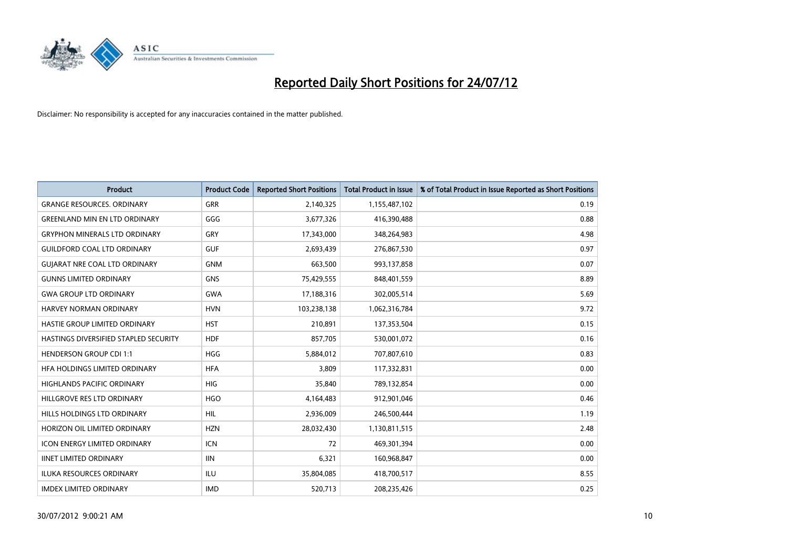

| <b>Product</b>                        | <b>Product Code</b> | <b>Reported Short Positions</b> | <b>Total Product in Issue</b> | % of Total Product in Issue Reported as Short Positions |
|---------------------------------------|---------------------|---------------------------------|-------------------------------|---------------------------------------------------------|
| <b>GRANGE RESOURCES, ORDINARY</b>     | <b>GRR</b>          | 2,140,325                       | 1,155,487,102                 | 0.19                                                    |
| <b>GREENLAND MIN EN LTD ORDINARY</b>  | GGG                 | 3,677,326                       | 416,390,488                   | 0.88                                                    |
| <b>GRYPHON MINERALS LTD ORDINARY</b>  | GRY                 | 17,343,000                      | 348,264,983                   | 4.98                                                    |
| <b>GUILDFORD COAL LTD ORDINARY</b>    | <b>GUF</b>          | 2,693,439                       | 276,867,530                   | 0.97                                                    |
| <b>GUIARAT NRE COAL LTD ORDINARY</b>  | <b>GNM</b>          | 663,500                         | 993,137,858                   | 0.07                                                    |
| <b>GUNNS LIMITED ORDINARY</b>         | <b>GNS</b>          | 75,429,555                      | 848,401,559                   | 8.89                                                    |
| <b>GWA GROUP LTD ORDINARY</b>         | <b>GWA</b>          | 17,188,316                      | 302,005,514                   | 5.69                                                    |
| HARVEY NORMAN ORDINARY                | <b>HVN</b>          | 103,238,138                     | 1,062,316,784                 | 9.72                                                    |
| HASTIE GROUP LIMITED ORDINARY         | <b>HST</b>          | 210,891                         | 137,353,504                   | 0.15                                                    |
| HASTINGS DIVERSIFIED STAPLED SECURITY | <b>HDF</b>          | 857,705                         | 530,001,072                   | 0.16                                                    |
| <b>HENDERSON GROUP CDI 1:1</b>        | <b>HGG</b>          | 5,884,012                       | 707,807,610                   | 0.83                                                    |
| HFA HOLDINGS LIMITED ORDINARY         | <b>HFA</b>          | 3,809                           | 117,332,831                   | 0.00                                                    |
| <b>HIGHLANDS PACIFIC ORDINARY</b>     | <b>HIG</b>          | 35,840                          | 789,132,854                   | 0.00                                                    |
| HILLGROVE RES LTD ORDINARY            | <b>HGO</b>          | 4,164,483                       | 912,901,046                   | 0.46                                                    |
| <b>HILLS HOLDINGS LTD ORDINARY</b>    | <b>HIL</b>          | 2,936,009                       | 246,500,444                   | 1.19                                                    |
| HORIZON OIL LIMITED ORDINARY          | <b>HZN</b>          | 28,032,430                      | 1,130,811,515                 | 2.48                                                    |
| ICON ENERGY LIMITED ORDINARY          | <b>ICN</b>          | 72                              | 469,301,394                   | 0.00                                                    |
| <b>IINET LIMITED ORDINARY</b>         | <b>IIN</b>          | 6,321                           | 160,968,847                   | 0.00                                                    |
| <b>ILUKA RESOURCES ORDINARY</b>       | ILU                 | 35,804,085                      | 418,700,517                   | 8.55                                                    |
| <b>IMDEX LIMITED ORDINARY</b>         | <b>IMD</b>          | 520,713                         | 208,235,426                   | 0.25                                                    |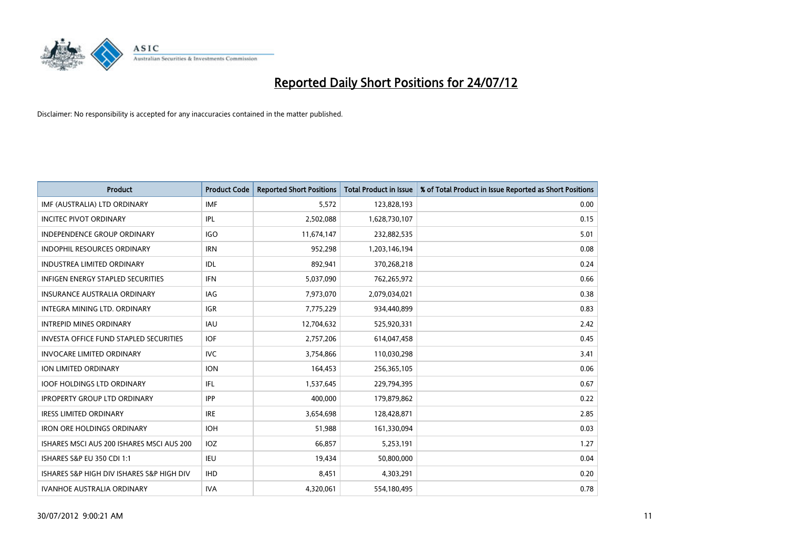

| <b>Product</b>                                | <b>Product Code</b> | <b>Reported Short Positions</b> | <b>Total Product in Issue</b> | % of Total Product in Issue Reported as Short Positions |
|-----------------------------------------------|---------------------|---------------------------------|-------------------------------|---------------------------------------------------------|
| IMF (AUSTRALIA) LTD ORDINARY                  | <b>IMF</b>          | 5,572                           | 123,828,193                   | 0.00                                                    |
| <b>INCITEC PIVOT ORDINARY</b>                 | <b>IPL</b>          | 2,502,088                       | 1,628,730,107                 | 0.15                                                    |
| <b>INDEPENDENCE GROUP ORDINARY</b>            | <b>IGO</b>          | 11,674,147                      | 232,882,535                   | 5.01                                                    |
| <b>INDOPHIL RESOURCES ORDINARY</b>            | <b>IRN</b>          | 952,298                         | 1,203,146,194                 | 0.08                                                    |
| <b>INDUSTREA LIMITED ORDINARY</b>             | IDL.                | 892,941                         | 370,268,218                   | 0.24                                                    |
| <b>INFIGEN ENERGY STAPLED SECURITIES</b>      | <b>IFN</b>          | 5,037,090                       | 762,265,972                   | 0.66                                                    |
| INSURANCE AUSTRALIA ORDINARY                  | <b>IAG</b>          | 7,973,070                       | 2,079,034,021                 | 0.38                                                    |
| <b>INTEGRA MINING LTD, ORDINARY</b>           | <b>IGR</b>          | 7,775,229                       | 934,440,899                   | 0.83                                                    |
| <b>INTREPID MINES ORDINARY</b>                | <b>IAU</b>          | 12,704,632                      | 525,920,331                   | 2.42                                                    |
| <b>INVESTA OFFICE FUND STAPLED SECURITIES</b> | <b>IOF</b>          | 2,757,206                       | 614,047,458                   | 0.45                                                    |
| <b>INVOCARE LIMITED ORDINARY</b>              | IVC                 | 3,754,866                       | 110,030,298                   | 3.41                                                    |
| ION LIMITED ORDINARY                          | <b>ION</b>          | 164,453                         | 256,365,105                   | 0.06                                                    |
| <b>IOOF HOLDINGS LTD ORDINARY</b>             | IFL.                | 1,537,645                       | 229,794,395                   | 0.67                                                    |
| <b>IPROPERTY GROUP LTD ORDINARY</b>           | <b>IPP</b>          | 400.000                         | 179,879,862                   | 0.22                                                    |
| <b>IRESS LIMITED ORDINARY</b>                 | <b>IRE</b>          | 3,654,698                       | 128,428,871                   | 2.85                                                    |
| <b>IRON ORE HOLDINGS ORDINARY</b>             | <b>IOH</b>          | 51,988                          | 161,330,094                   | 0.03                                                    |
| ISHARES MSCI AUS 200 ISHARES MSCI AUS 200     | <b>IOZ</b>          | 66,857                          | 5,253,191                     | 1.27                                                    |
| ISHARES S&P EU 350 CDI 1:1                    | <b>IEU</b>          | 19,434                          | 50,800,000                    | 0.04                                                    |
| ISHARES S&P HIGH DIV ISHARES S&P HIGH DIV     | <b>IHD</b>          | 8,451                           | 4,303,291                     | 0.20                                                    |
| <b>IVANHOE AUSTRALIA ORDINARY</b>             | <b>IVA</b>          | 4,320,061                       | 554,180,495                   | 0.78                                                    |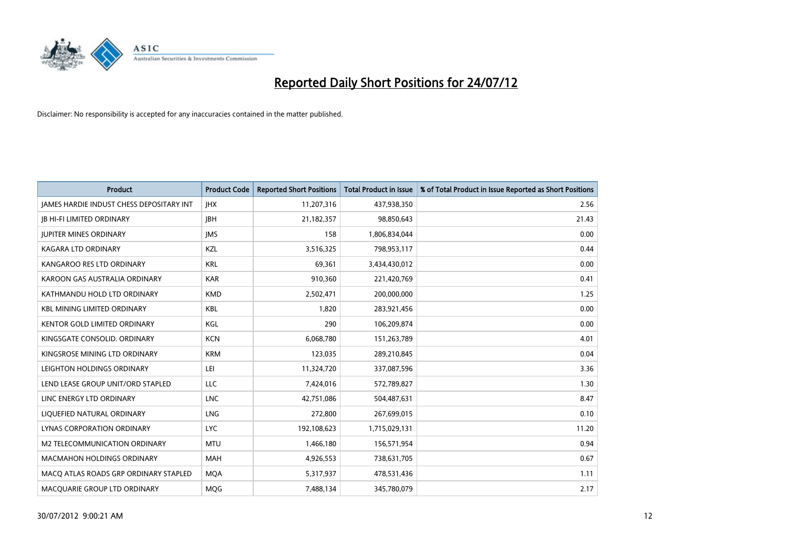

| <b>Product</b>                                  | <b>Product Code</b> | <b>Reported Short Positions</b> | <b>Total Product in Issue</b> | % of Total Product in Issue Reported as Short Positions |
|-------------------------------------------------|---------------------|---------------------------------|-------------------------------|---------------------------------------------------------|
| <b>IAMES HARDIE INDUST CHESS DEPOSITARY INT</b> | <b>IHX</b>          | 11,207,316                      | 437,938,350                   | 2.56                                                    |
| <b>IB HI-FI LIMITED ORDINARY</b>                | <b>IBH</b>          | 21,182,357                      | 98,850,643                    | 21.43                                                   |
| <b>JUPITER MINES ORDINARY</b>                   | <b>IMS</b>          | 158                             | 1,806,834,044                 | 0.00                                                    |
| <b>KAGARA LTD ORDINARY</b>                      | KZL                 | 3,516,325                       | 798,953,117                   | 0.44                                                    |
| KANGAROO RES LTD ORDINARY                       | <b>KRL</b>          | 69,361                          | 3,434,430,012                 | 0.00                                                    |
| KAROON GAS AUSTRALIA ORDINARY                   | <b>KAR</b>          | 910,360                         | 221,420,769                   | 0.41                                                    |
| KATHMANDU HOLD LTD ORDINARY                     | <b>KMD</b>          | 2,502,471                       | 200,000,000                   | 1.25                                                    |
| <b>KBL MINING LIMITED ORDINARY</b>              | <b>KBL</b>          | 1,820                           | 283,921,456                   | 0.00                                                    |
| <b>KENTOR GOLD LIMITED ORDINARY</b>             | KGL                 | 290                             | 106,209,874                   | 0.00                                                    |
| KINGSGATE CONSOLID. ORDINARY                    | <b>KCN</b>          | 6,068,780                       | 151,263,789                   | 4.01                                                    |
| KINGSROSE MINING LTD ORDINARY                   | <b>KRM</b>          | 123,035                         | 289,210,845                   | 0.04                                                    |
| LEIGHTON HOLDINGS ORDINARY                      | LEI                 | 11,324,720                      | 337,087,596                   | 3.36                                                    |
| LEND LEASE GROUP UNIT/ORD STAPLED               | LLC                 | 7,424,016                       | 572,789,827                   | 1.30                                                    |
| LINC ENERGY LTD ORDINARY                        | <b>LNC</b>          | 42,751,086                      | 504,487,631                   | 8.47                                                    |
| LIQUEFIED NATURAL ORDINARY                      | <b>LNG</b>          | 272,800                         | 267,699,015                   | 0.10                                                    |
| <b>LYNAS CORPORATION ORDINARY</b>               | <b>LYC</b>          | 192,108,623                     | 1,715,029,131                 | 11.20                                                   |
| M2 TELECOMMUNICATION ORDINARY                   | <b>MTU</b>          | 1,466,180                       | 156,571,954                   | 0.94                                                    |
| <b>MACMAHON HOLDINGS ORDINARY</b>               | <b>MAH</b>          | 4,926,553                       | 738,631,705                   | 0.67                                                    |
| MACO ATLAS ROADS GRP ORDINARY STAPLED           | <b>MQA</b>          | 5,317,937                       | 478,531,436                   | 1.11                                                    |
| MACQUARIE GROUP LTD ORDINARY                    | <b>MQG</b>          | 7,488,134                       | 345,780,079                   | 2.17                                                    |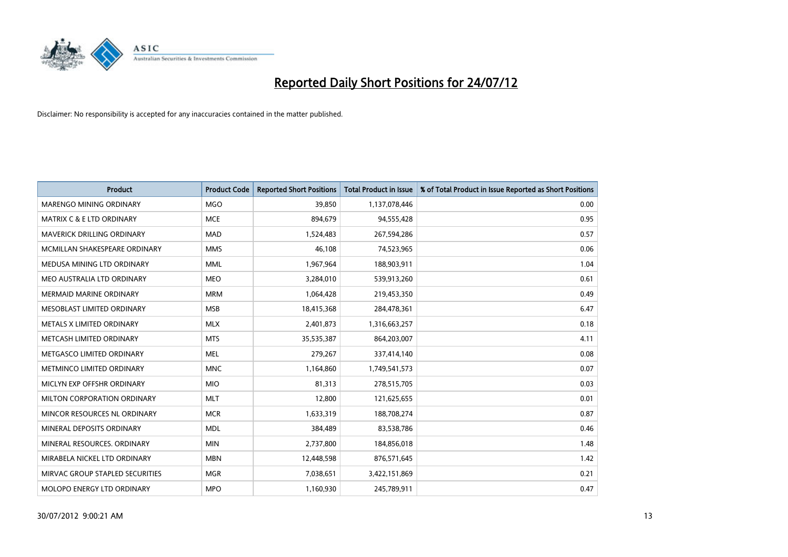

| <b>Product</b>                       | <b>Product Code</b> | <b>Reported Short Positions</b> | <b>Total Product in Issue</b> | % of Total Product in Issue Reported as Short Positions |
|--------------------------------------|---------------------|---------------------------------|-------------------------------|---------------------------------------------------------|
| <b>MARENGO MINING ORDINARY</b>       | <b>MGO</b>          | 39.850                          | 1,137,078,446                 | 0.00                                                    |
| <b>MATRIX C &amp; E LTD ORDINARY</b> | <b>MCE</b>          | 894,679                         | 94,555,428                    | 0.95                                                    |
| <b>MAVERICK DRILLING ORDINARY</b>    | <b>MAD</b>          | 1,524,483                       | 267,594,286                   | 0.57                                                    |
| MCMILLAN SHAKESPEARE ORDINARY        | <b>MMS</b>          | 46,108                          | 74,523,965                    | 0.06                                                    |
| MEDUSA MINING LTD ORDINARY           | <b>MML</b>          | 1,967,964                       | 188,903,911                   | 1.04                                                    |
| MEO AUSTRALIA LTD ORDINARY           | <b>MEO</b>          | 3,284,010                       | 539,913,260                   | 0.61                                                    |
| <b>MERMAID MARINE ORDINARY</b>       | <b>MRM</b>          | 1,064,428                       | 219,453,350                   | 0.49                                                    |
| MESOBLAST LIMITED ORDINARY           | <b>MSB</b>          | 18,415,368                      | 284,478,361                   | 6.47                                                    |
| METALS X LIMITED ORDINARY            | <b>MLX</b>          | 2,401,873                       | 1,316,663,257                 | 0.18                                                    |
| METCASH LIMITED ORDINARY             | <b>MTS</b>          | 35,535,387                      | 864,203,007                   | 4.11                                                    |
| METGASCO LIMITED ORDINARY            | <b>MEL</b>          | 279,267                         | 337,414,140                   | 0.08                                                    |
| METMINCO LIMITED ORDINARY            | <b>MNC</b>          | 1,164,860                       | 1,749,541,573                 | 0.07                                                    |
| MICLYN EXP OFFSHR ORDINARY           | <b>MIO</b>          | 81,313                          | 278,515,705                   | 0.03                                                    |
| MILTON CORPORATION ORDINARY          | <b>MLT</b>          | 12,800                          | 121,625,655                   | 0.01                                                    |
| MINCOR RESOURCES NL ORDINARY         | <b>MCR</b>          | 1,633,319                       | 188,708,274                   | 0.87                                                    |
| MINERAL DEPOSITS ORDINARY            | <b>MDL</b>          | 384,489                         | 83,538,786                    | 0.46                                                    |
| MINERAL RESOURCES. ORDINARY          | <b>MIN</b>          | 2,737,800                       | 184,856,018                   | 1.48                                                    |
| MIRABELA NICKEL LTD ORDINARY         | <b>MBN</b>          | 12,448,598                      | 876,571,645                   | 1.42                                                    |
| MIRVAC GROUP STAPLED SECURITIES      | <b>MGR</b>          | 7,038,651                       | 3,422,151,869                 | 0.21                                                    |
| MOLOPO ENERGY LTD ORDINARY           | <b>MPO</b>          | 1,160,930                       | 245,789,911                   | 0.47                                                    |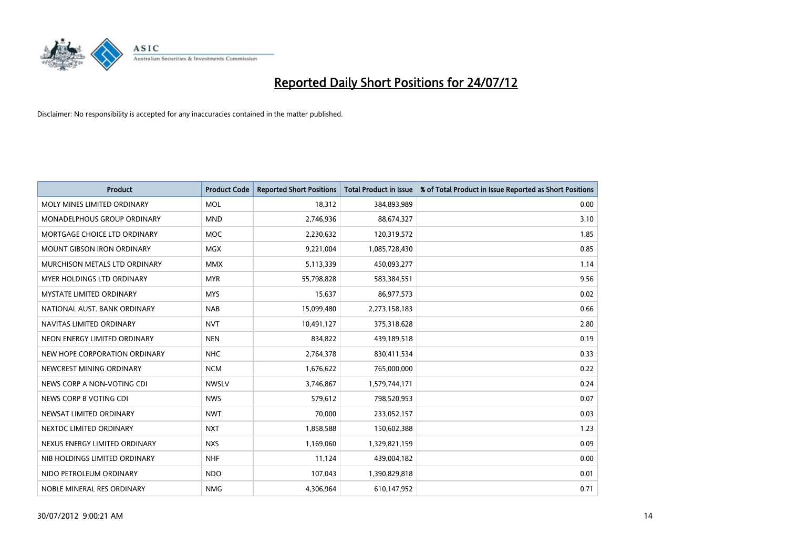

| <b>Product</b>                    | <b>Product Code</b> | <b>Reported Short Positions</b> | <b>Total Product in Issue</b> | % of Total Product in Issue Reported as Short Positions |
|-----------------------------------|---------------------|---------------------------------|-------------------------------|---------------------------------------------------------|
| MOLY MINES LIMITED ORDINARY       | <b>MOL</b>          | 18,312                          | 384,893,989                   | 0.00                                                    |
| MONADELPHOUS GROUP ORDINARY       | <b>MND</b>          | 2,746,936                       | 88,674,327                    | 3.10                                                    |
| MORTGAGE CHOICE LTD ORDINARY      | <b>MOC</b>          | 2,230,632                       | 120,319,572                   | 1.85                                                    |
| MOUNT GIBSON IRON ORDINARY        | <b>MGX</b>          | 9,221,004                       | 1,085,728,430                 | 0.85                                                    |
| MURCHISON METALS LTD ORDINARY     | <b>MMX</b>          | 5,113,339                       | 450,093,277                   | 1.14                                                    |
| <b>MYER HOLDINGS LTD ORDINARY</b> | <b>MYR</b>          | 55,798,828                      | 583,384,551                   | 9.56                                                    |
| <b>MYSTATE LIMITED ORDINARY</b>   | <b>MYS</b>          | 15,637                          | 86,977,573                    | 0.02                                                    |
| NATIONAL AUST. BANK ORDINARY      | <b>NAB</b>          | 15,099,480                      | 2,273,158,183                 | 0.66                                                    |
| NAVITAS LIMITED ORDINARY          | <b>NVT</b>          | 10,491,127                      | 375,318,628                   | 2.80                                                    |
| NEON ENERGY LIMITED ORDINARY      | <b>NEN</b>          | 834,822                         | 439,189,518                   | 0.19                                                    |
| NEW HOPE CORPORATION ORDINARY     | <b>NHC</b>          | 2,764,378                       | 830,411,534                   | 0.33                                                    |
| NEWCREST MINING ORDINARY          | <b>NCM</b>          | 1,676,622                       | 765,000,000                   | 0.22                                                    |
| NEWS CORP A NON-VOTING CDI        | <b>NWSLV</b>        | 3,746,867                       | 1,579,744,171                 | 0.24                                                    |
| NEWS CORP B VOTING CDI            | <b>NWS</b>          | 579,612                         | 798,520,953                   | 0.07                                                    |
| NEWSAT LIMITED ORDINARY           | <b>NWT</b>          | 70,000                          | 233,052,157                   | 0.03                                                    |
| NEXTDC LIMITED ORDINARY           | <b>NXT</b>          | 1,858,588                       | 150,602,388                   | 1.23                                                    |
| NEXUS ENERGY LIMITED ORDINARY     | <b>NXS</b>          | 1,169,060                       | 1,329,821,159                 | 0.09                                                    |
| NIB HOLDINGS LIMITED ORDINARY     | <b>NHF</b>          | 11,124                          | 439,004,182                   | 0.00                                                    |
| NIDO PETROLEUM ORDINARY           | <b>NDO</b>          | 107,043                         | 1,390,829,818                 | 0.01                                                    |
| NOBLE MINERAL RES ORDINARY        | <b>NMG</b>          | 4,306,964                       | 610,147,952                   | 0.71                                                    |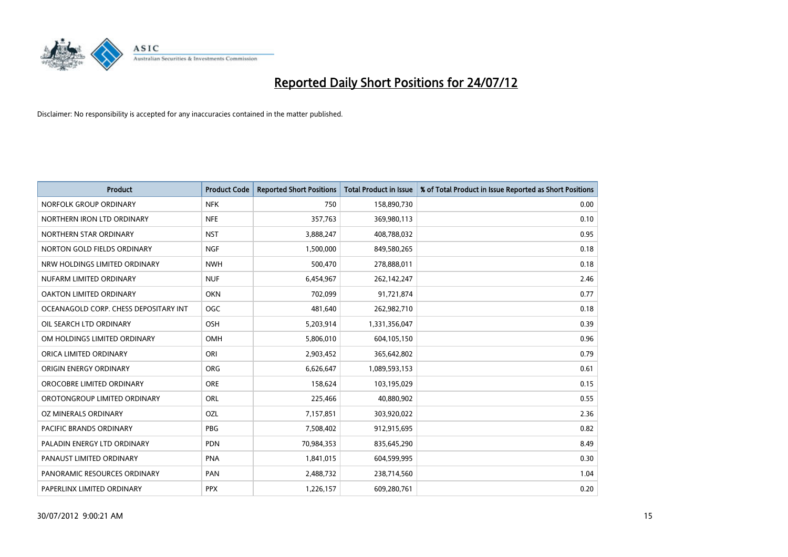

| <b>Product</b>                        | <b>Product Code</b> | <b>Reported Short Positions</b> | <b>Total Product in Issue</b> | % of Total Product in Issue Reported as Short Positions |
|---------------------------------------|---------------------|---------------------------------|-------------------------------|---------------------------------------------------------|
| NORFOLK GROUP ORDINARY                | <b>NFK</b>          | 750                             | 158,890,730                   | 0.00                                                    |
| NORTHERN IRON LTD ORDINARY            | <b>NFE</b>          | 357,763                         | 369,980,113                   | 0.10                                                    |
| NORTHERN STAR ORDINARY                | <b>NST</b>          | 3,888,247                       | 408,788,032                   | 0.95                                                    |
| NORTON GOLD FIELDS ORDINARY           | <b>NGF</b>          | 1,500,000                       | 849,580,265                   | 0.18                                                    |
| NRW HOLDINGS LIMITED ORDINARY         | <b>NWH</b>          | 500,470                         | 278,888,011                   | 0.18                                                    |
| NUFARM LIMITED ORDINARY               | <b>NUF</b>          | 6,454,967                       | 262,142,247                   | 2.46                                                    |
| <b>OAKTON LIMITED ORDINARY</b>        | <b>OKN</b>          | 702,099                         | 91,721,874                    | 0.77                                                    |
| OCEANAGOLD CORP. CHESS DEPOSITARY INT | <b>OGC</b>          | 481,640                         | 262,982,710                   | 0.18                                                    |
| OIL SEARCH LTD ORDINARY               | OSH                 | 5,203,914                       | 1,331,356,047                 | 0.39                                                    |
| OM HOLDINGS LIMITED ORDINARY          | OMH                 | 5,806,010                       | 604,105,150                   | 0.96                                                    |
| ORICA LIMITED ORDINARY                | ORI                 | 2,903,452                       | 365,642,802                   | 0.79                                                    |
| ORIGIN ENERGY ORDINARY                | <b>ORG</b>          | 6,626,647                       | 1,089,593,153                 | 0.61                                                    |
| OROCOBRE LIMITED ORDINARY             | <b>ORE</b>          | 158,624                         | 103,195,029                   | 0.15                                                    |
| OROTONGROUP LIMITED ORDINARY          | <b>ORL</b>          | 225,466                         | 40,880,902                    | 0.55                                                    |
| OZ MINERALS ORDINARY                  | OZL                 | 7,157,851                       | 303,920,022                   | 2.36                                                    |
| PACIFIC BRANDS ORDINARY               | <b>PBG</b>          | 7,508,402                       | 912,915,695                   | 0.82                                                    |
| PALADIN ENERGY LTD ORDINARY           | <b>PDN</b>          | 70,984,353                      | 835,645,290                   | 8.49                                                    |
| PANAUST LIMITED ORDINARY              | <b>PNA</b>          | 1,841,015                       | 604,599,995                   | 0.30                                                    |
| PANORAMIC RESOURCES ORDINARY          | PAN                 | 2,488,732                       | 238,714,560                   | 1.04                                                    |
| PAPERLINX LIMITED ORDINARY            | <b>PPX</b>          | 1,226,157                       | 609,280,761                   | 0.20                                                    |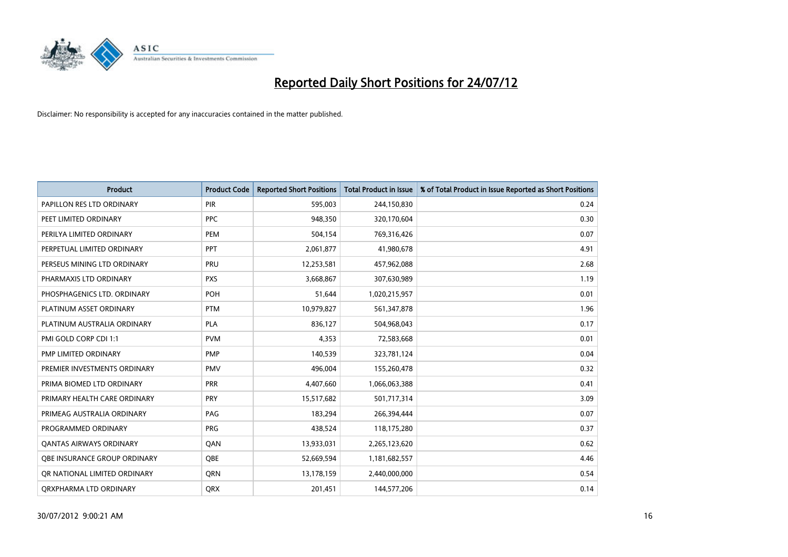

| <b>Product</b>                 | <b>Product Code</b> | <b>Reported Short Positions</b> | <b>Total Product in Issue</b> | % of Total Product in Issue Reported as Short Positions |
|--------------------------------|---------------------|---------------------------------|-------------------------------|---------------------------------------------------------|
| PAPILLON RES LTD ORDINARY      | PIR                 | 595,003                         | 244,150,830                   | 0.24                                                    |
| PEET LIMITED ORDINARY          | <b>PPC</b>          | 948,350                         | 320,170,604                   | 0.30                                                    |
| PERILYA LIMITED ORDINARY       | PEM                 | 504,154                         | 769,316,426                   | 0.07                                                    |
| PERPETUAL LIMITED ORDINARY     | <b>PPT</b>          | 2,061,877                       | 41,980,678                    | 4.91                                                    |
| PERSEUS MINING LTD ORDINARY    | PRU                 | 12,253,581                      | 457,962,088                   | 2.68                                                    |
| PHARMAXIS LTD ORDINARY         | <b>PXS</b>          | 3,668,867                       | 307,630,989                   | 1.19                                                    |
| PHOSPHAGENICS LTD. ORDINARY    | <b>POH</b>          | 51,644                          | 1,020,215,957                 | 0.01                                                    |
| PLATINUM ASSET ORDINARY        | <b>PTM</b>          | 10,979,827                      | 561,347,878                   | 1.96                                                    |
| PLATINUM AUSTRALIA ORDINARY    | <b>PLA</b>          | 836,127                         | 504,968,043                   | 0.17                                                    |
| PMI GOLD CORP CDI 1:1          | <b>PVM</b>          | 4,353                           | 72,583,668                    | 0.01                                                    |
| PMP LIMITED ORDINARY           | <b>PMP</b>          | 140,539                         | 323,781,124                   | 0.04                                                    |
| PREMIER INVESTMENTS ORDINARY   | <b>PMV</b>          | 496,004                         | 155,260,478                   | 0.32                                                    |
| PRIMA BIOMED LTD ORDINARY      | <b>PRR</b>          | 4,407,660                       | 1,066,063,388                 | 0.41                                                    |
| PRIMARY HEALTH CARE ORDINARY   | <b>PRY</b>          | 15,517,682                      | 501,717,314                   | 3.09                                                    |
| PRIMEAG AUSTRALIA ORDINARY     | PAG                 | 183,294                         | 266,394,444                   | 0.07                                                    |
| PROGRAMMED ORDINARY            | <b>PRG</b>          | 438,524                         | 118,175,280                   | 0.37                                                    |
| <b>QANTAS AIRWAYS ORDINARY</b> | QAN                 | 13,933,031                      | 2,265,123,620                 | 0.62                                                    |
| OBE INSURANCE GROUP ORDINARY   | <b>OBE</b>          | 52,669,594                      | 1,181,682,557                 | 4.46                                                    |
| OR NATIONAL LIMITED ORDINARY   | <b>ORN</b>          | 13,178,159                      | 2,440,000,000                 | 0.54                                                    |
| ORXPHARMA LTD ORDINARY         | <b>ORX</b>          | 201,451                         | 144,577,206                   | 0.14                                                    |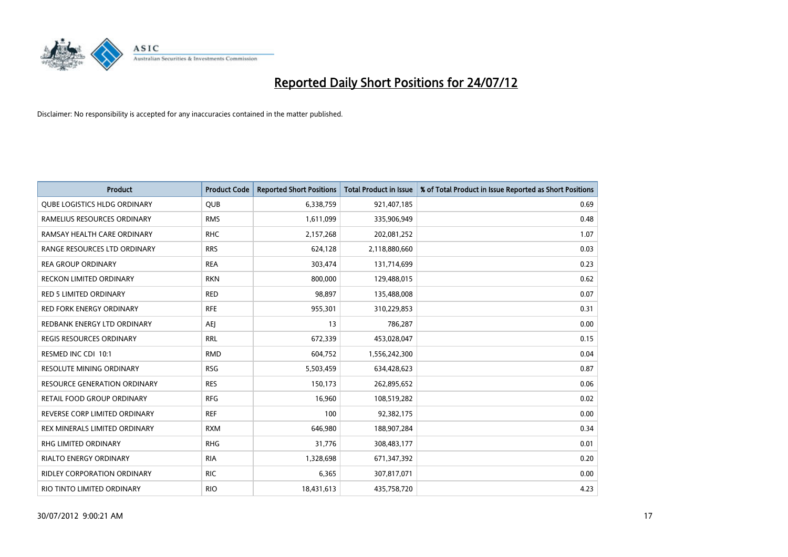

| <b>Product</b>                      | <b>Product Code</b> | <b>Reported Short Positions</b> | <b>Total Product in Issue</b> | % of Total Product in Issue Reported as Short Positions |
|-------------------------------------|---------------------|---------------------------------|-------------------------------|---------------------------------------------------------|
| <b>OUBE LOGISTICS HLDG ORDINARY</b> | <b>QUB</b>          | 6,338,759                       | 921,407,185                   | 0.69                                                    |
| RAMELIUS RESOURCES ORDINARY         | <b>RMS</b>          | 1,611,099                       | 335,906,949                   | 0.48                                                    |
| RAMSAY HEALTH CARE ORDINARY         | <b>RHC</b>          | 2,157,268                       | 202,081,252                   | 1.07                                                    |
| RANGE RESOURCES LTD ORDINARY        | <b>RRS</b>          | 624,128                         | 2,118,880,660                 | 0.03                                                    |
| <b>REA GROUP ORDINARY</b>           | <b>REA</b>          | 303,474                         | 131,714,699                   | 0.23                                                    |
| <b>RECKON LIMITED ORDINARY</b>      | <b>RKN</b>          | 800,000                         | 129,488,015                   | 0.62                                                    |
| RED 5 LIMITED ORDINARY              | <b>RED</b>          | 98,897                          | 135,488,008                   | 0.07                                                    |
| <b>RED FORK ENERGY ORDINARY</b>     | <b>RFE</b>          | 955,301                         | 310,229,853                   | 0.31                                                    |
| REDBANK ENERGY LTD ORDINARY         | AEJ                 | 13                              | 786,287                       | 0.00                                                    |
| <b>REGIS RESOURCES ORDINARY</b>     | <b>RRL</b>          | 672,339                         | 453,028,047                   | 0.15                                                    |
| RESMED INC CDI 10:1                 | <b>RMD</b>          | 604,752                         | 1,556,242,300                 | 0.04                                                    |
| <b>RESOLUTE MINING ORDINARY</b>     | <b>RSG</b>          | 5,503,459                       | 634,428,623                   | 0.87                                                    |
| <b>RESOURCE GENERATION ORDINARY</b> | <b>RES</b>          | 150,173                         | 262,895,652                   | 0.06                                                    |
| RETAIL FOOD GROUP ORDINARY          | <b>RFG</b>          | 16,960                          | 108,519,282                   | 0.02                                                    |
| REVERSE CORP LIMITED ORDINARY       | <b>REF</b>          | 100                             | 92,382,175                    | 0.00                                                    |
| REX MINERALS LIMITED ORDINARY       | <b>RXM</b>          | 646,980                         | 188,907,284                   | 0.34                                                    |
| RHG LIMITED ORDINARY                | <b>RHG</b>          | 31,776                          | 308,483,177                   | 0.01                                                    |
| RIALTO ENERGY ORDINARY              | <b>RIA</b>          | 1,328,698                       | 671,347,392                   | 0.20                                                    |
| <b>RIDLEY CORPORATION ORDINARY</b>  | <b>RIC</b>          | 6,365                           | 307,817,071                   | 0.00                                                    |
| RIO TINTO LIMITED ORDINARY          | <b>RIO</b>          | 18,431,613                      | 435,758,720                   | 4.23                                                    |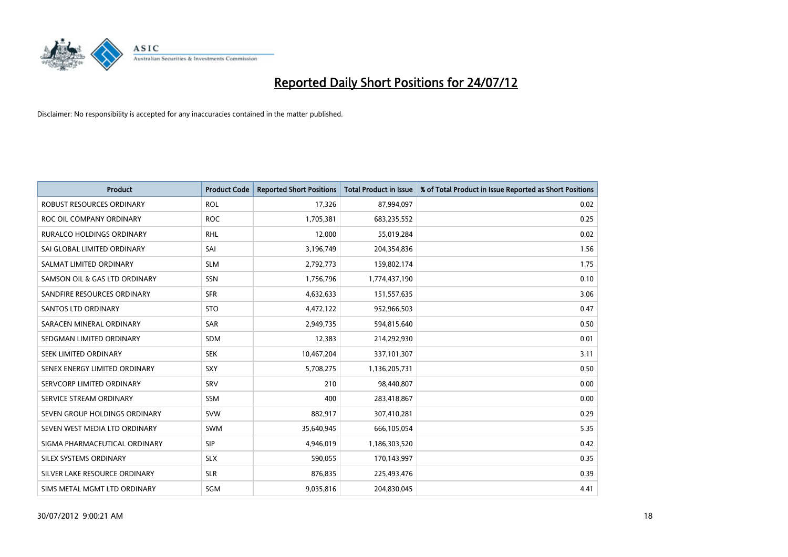

| <b>Product</b>                   | <b>Product Code</b> | <b>Reported Short Positions</b> | <b>Total Product in Issue</b> | % of Total Product in Issue Reported as Short Positions |
|----------------------------------|---------------------|---------------------------------|-------------------------------|---------------------------------------------------------|
| <b>ROBUST RESOURCES ORDINARY</b> | <b>ROL</b>          | 17,326                          | 87,994,097                    | 0.02                                                    |
| ROC OIL COMPANY ORDINARY         | <b>ROC</b>          | 1,705,381                       | 683,235,552                   | 0.25                                                    |
| RURALCO HOLDINGS ORDINARY        | <b>RHL</b>          | 12,000                          | 55,019,284                    | 0.02                                                    |
| SAI GLOBAL LIMITED ORDINARY      | SAI                 | 3,196,749                       | 204,354,836                   | 1.56                                                    |
| SALMAT LIMITED ORDINARY          | <b>SLM</b>          | 2,792,773                       | 159,802,174                   | 1.75                                                    |
| SAMSON OIL & GAS LTD ORDINARY    | <b>SSN</b>          | 1,756,796                       | 1,774,437,190                 | 0.10                                                    |
| SANDFIRE RESOURCES ORDINARY      | <b>SFR</b>          | 4,632,633                       | 151,557,635                   | 3.06                                                    |
| <b>SANTOS LTD ORDINARY</b>       | <b>STO</b>          | 4,472,122                       | 952,966,503                   | 0.47                                                    |
| SARACEN MINERAL ORDINARY         | <b>SAR</b>          | 2,949,735                       | 594,815,640                   | 0.50                                                    |
| SEDGMAN LIMITED ORDINARY         | <b>SDM</b>          | 12,383                          | 214,292,930                   | 0.01                                                    |
| SEEK LIMITED ORDINARY            | <b>SEK</b>          | 10,467,204                      | 337,101,307                   | 3.11                                                    |
| SENEX ENERGY LIMITED ORDINARY    | <b>SXY</b>          | 5,708,275                       | 1,136,205,731                 | 0.50                                                    |
| SERVCORP LIMITED ORDINARY        | SRV                 | 210                             | 98,440,807                    | 0.00                                                    |
| SERVICE STREAM ORDINARY          | <b>SSM</b>          | 400                             | 283,418,867                   | 0.00                                                    |
| SEVEN GROUP HOLDINGS ORDINARY    | <b>SVW</b>          | 882,917                         | 307,410,281                   | 0.29                                                    |
| SEVEN WEST MEDIA LTD ORDINARY    | <b>SWM</b>          | 35,640,945                      | 666,105,054                   | 5.35                                                    |
| SIGMA PHARMACEUTICAL ORDINARY    | <b>SIP</b>          | 4,946,019                       | 1,186,303,520                 | 0.42                                                    |
| SILEX SYSTEMS ORDINARY           | <b>SLX</b>          | 590,055                         | 170,143,997                   | 0.35                                                    |
| SILVER LAKE RESOURCE ORDINARY    | <b>SLR</b>          | 876,835                         | 225,493,476                   | 0.39                                                    |
| SIMS METAL MGMT LTD ORDINARY     | SGM                 | 9,035,816                       | 204,830,045                   | 4.41                                                    |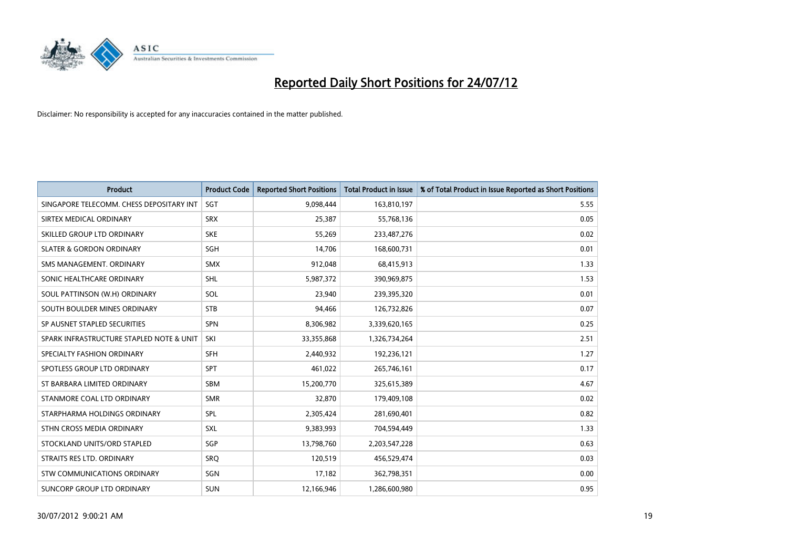

| <b>Product</b>                           | <b>Product Code</b> | <b>Reported Short Positions</b> | <b>Total Product in Issue</b> | % of Total Product in Issue Reported as Short Positions |
|------------------------------------------|---------------------|---------------------------------|-------------------------------|---------------------------------------------------------|
| SINGAPORE TELECOMM. CHESS DEPOSITARY INT | <b>SGT</b>          | 9,098,444                       | 163,810,197                   | 5.55                                                    |
| SIRTEX MEDICAL ORDINARY                  | <b>SRX</b>          | 25,387                          | 55,768,136                    | 0.05                                                    |
| SKILLED GROUP LTD ORDINARY               | <b>SKE</b>          | 55,269                          | 233,487,276                   | 0.02                                                    |
| <b>SLATER &amp; GORDON ORDINARY</b>      | <b>SGH</b>          | 14,706                          | 168,600,731                   | 0.01                                                    |
| SMS MANAGEMENT, ORDINARY                 | <b>SMX</b>          | 912,048                         | 68,415,913                    | 1.33                                                    |
| SONIC HEALTHCARE ORDINARY                | <b>SHL</b>          | 5,987,372                       | 390,969,875                   | 1.53                                                    |
| SOUL PATTINSON (W.H) ORDINARY            | SOL                 | 23,940                          | 239,395,320                   | 0.01                                                    |
| SOUTH BOULDER MINES ORDINARY             | <b>STB</b>          | 94,466                          | 126,732,826                   | 0.07                                                    |
| SP AUSNET STAPLED SECURITIES             | <b>SPN</b>          | 8,306,982                       | 3,339,620,165                 | 0.25                                                    |
| SPARK INFRASTRUCTURE STAPLED NOTE & UNIT | SKI                 | 33,355,868                      | 1,326,734,264                 | 2.51                                                    |
| SPECIALTY FASHION ORDINARY               | <b>SFH</b>          | 2,440,932                       | 192,236,121                   | 1.27                                                    |
| SPOTLESS GROUP LTD ORDINARY              | <b>SPT</b>          | 461,022                         | 265,746,161                   | 0.17                                                    |
| ST BARBARA LIMITED ORDINARY              | <b>SBM</b>          | 15,200,770                      | 325,615,389                   | 4.67                                                    |
| STANMORE COAL LTD ORDINARY               | <b>SMR</b>          | 32,870                          | 179,409,108                   | 0.02                                                    |
| STARPHARMA HOLDINGS ORDINARY             | SPL                 | 2,305,424                       | 281,690,401                   | 0.82                                                    |
| STHN CROSS MEDIA ORDINARY                | SXL                 | 9,383,993                       | 704,594,449                   | 1.33                                                    |
| STOCKLAND UNITS/ORD STAPLED              | SGP                 | 13,798,760                      | 2,203,547,228                 | 0.63                                                    |
| STRAITS RES LTD. ORDINARY                | SRQ                 | 120,519                         | 456,529,474                   | 0.03                                                    |
| STW COMMUNICATIONS ORDINARY              | SGN                 | 17,182                          | 362,798,351                   | 0.00                                                    |
| SUNCORP GROUP LTD ORDINARY               | <b>SUN</b>          | 12,166,946                      | 1,286,600,980                 | 0.95                                                    |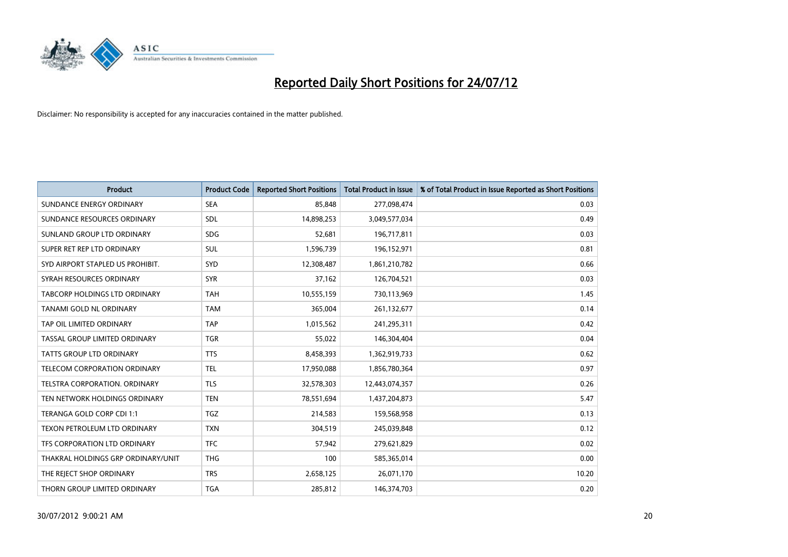

| <b>Product</b>                      | <b>Product Code</b> | <b>Reported Short Positions</b> | <b>Total Product in Issue</b> | % of Total Product in Issue Reported as Short Positions |
|-------------------------------------|---------------------|---------------------------------|-------------------------------|---------------------------------------------------------|
| SUNDANCE ENERGY ORDINARY            | <b>SEA</b>          | 85,848                          | 277,098,474                   | 0.03                                                    |
| SUNDANCE RESOURCES ORDINARY         | <b>SDL</b>          | 14,898,253                      | 3,049,577,034                 | 0.49                                                    |
| SUNLAND GROUP LTD ORDINARY          | <b>SDG</b>          | 52,681                          | 196,717,811                   | 0.03                                                    |
| SUPER RET REP LTD ORDINARY          | <b>SUL</b>          | 1,596,739                       | 196,152,971                   | 0.81                                                    |
| SYD AIRPORT STAPLED US PROHIBIT.    | <b>SYD</b>          | 12,308,487                      | 1,861,210,782                 | 0.66                                                    |
| SYRAH RESOURCES ORDINARY            | <b>SYR</b>          | 37,162                          | 126,704,521                   | 0.03                                                    |
| TABCORP HOLDINGS LTD ORDINARY       | <b>TAH</b>          | 10,555,159                      | 730,113,969                   | 1.45                                                    |
| TANAMI GOLD NL ORDINARY             | <b>TAM</b>          | 365,004                         | 261,132,677                   | 0.14                                                    |
| TAP OIL LIMITED ORDINARY            | <b>TAP</b>          | 1,015,562                       | 241,295,311                   | 0.42                                                    |
| TASSAL GROUP LIMITED ORDINARY       | <b>TGR</b>          | 55,022                          | 146,304,404                   | 0.04                                                    |
| TATTS GROUP LTD ORDINARY            | <b>TTS</b>          | 8,458,393                       | 1,362,919,733                 | 0.62                                                    |
| <b>TELECOM CORPORATION ORDINARY</b> | <b>TEL</b>          | 17,950,088                      | 1,856,780,364                 | 0.97                                                    |
| TELSTRA CORPORATION. ORDINARY       | <b>TLS</b>          | 32,578,303                      | 12,443,074,357                | 0.26                                                    |
| TEN NETWORK HOLDINGS ORDINARY       | <b>TEN</b>          | 78,551,694                      | 1,437,204,873                 | 5.47                                                    |
| TERANGA GOLD CORP CDI 1:1           | <b>TGZ</b>          | 214,583                         | 159,568,958                   | 0.13                                                    |
| TEXON PETROLEUM LTD ORDINARY        | <b>TXN</b>          | 304,519                         | 245,039,848                   | 0.12                                                    |
| TFS CORPORATION LTD ORDINARY        | <b>TFC</b>          | 57,942                          | 279,621,829                   | 0.02                                                    |
| THAKRAL HOLDINGS GRP ORDINARY/UNIT  | <b>THG</b>          | 100                             | 585,365,014                   | 0.00                                                    |
| THE REJECT SHOP ORDINARY            | <b>TRS</b>          | 2,658,125                       | 26,071,170                    | 10.20                                                   |
| THORN GROUP LIMITED ORDINARY        | <b>TGA</b>          | 285,812                         | 146,374,703                   | 0.20                                                    |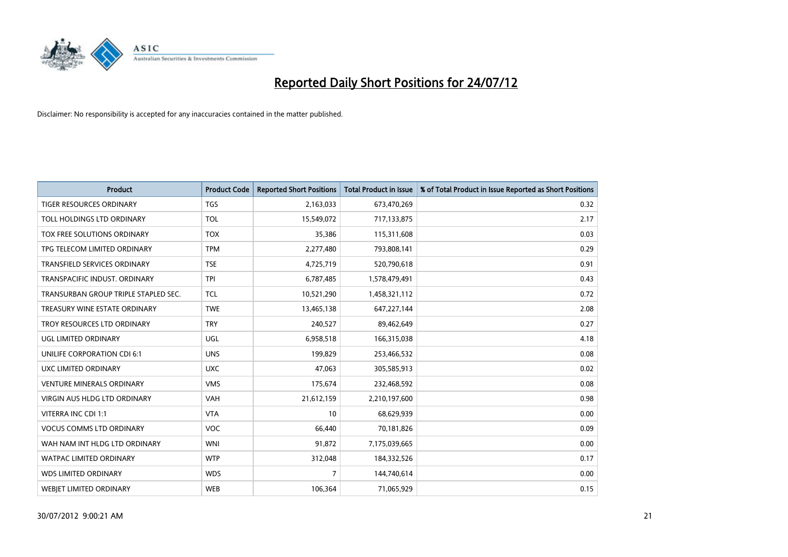

| <b>Product</b>                       | <b>Product Code</b> | <b>Reported Short Positions</b> | <b>Total Product in Issue</b> | % of Total Product in Issue Reported as Short Positions |
|--------------------------------------|---------------------|---------------------------------|-------------------------------|---------------------------------------------------------|
| <b>TIGER RESOURCES ORDINARY</b>      | <b>TGS</b>          | 2,163,033                       | 673,470,269                   | 0.32                                                    |
| TOLL HOLDINGS LTD ORDINARY           | <b>TOL</b>          | 15,549,072                      | 717,133,875                   | 2.17                                                    |
| TOX FREE SOLUTIONS ORDINARY          | <b>TOX</b>          | 35,386                          | 115,311,608                   | 0.03                                                    |
| TPG TELECOM LIMITED ORDINARY         | <b>TPM</b>          | 2,277,480                       | 793,808,141                   | 0.29                                                    |
| <b>TRANSFIELD SERVICES ORDINARY</b>  | <b>TSE</b>          | 4,725,719                       | 520,790,618                   | 0.91                                                    |
| TRANSPACIFIC INDUST, ORDINARY        | <b>TPI</b>          | 6,787,485                       | 1,578,479,491                 | 0.43                                                    |
| TRANSURBAN GROUP TRIPLE STAPLED SEC. | <b>TCL</b>          | 10,521,290                      | 1,458,321,112                 | 0.72                                                    |
| TREASURY WINE ESTATE ORDINARY        | <b>TWE</b>          | 13,465,138                      | 647,227,144                   | 2.08                                                    |
| TROY RESOURCES LTD ORDINARY          | <b>TRY</b>          | 240,527                         | 89,462,649                    | 0.27                                                    |
| UGL LIMITED ORDINARY                 | UGL                 | 6,958,518                       | 166,315,038                   | 4.18                                                    |
| UNILIFE CORPORATION CDI 6:1          | <b>UNS</b>          | 199,829                         | 253,466,532                   | 0.08                                                    |
| UXC LIMITED ORDINARY                 | <b>UXC</b>          | 47,063                          | 305,585,913                   | 0.02                                                    |
| <b>VENTURE MINERALS ORDINARY</b>     | <b>VMS</b>          | 175,674                         | 232,468,592                   | 0.08                                                    |
| <b>VIRGIN AUS HLDG LTD ORDINARY</b>  | VAH                 | 21,612,159                      | 2,210,197,600                 | 0.98                                                    |
| VITERRA INC CDI 1:1                  | <b>VTA</b>          | 10                              | 68,629,939                    | 0.00                                                    |
| <b>VOCUS COMMS LTD ORDINARY</b>      | <b>VOC</b>          | 66,440                          | 70,181,826                    | 0.09                                                    |
| WAH NAM INT HLDG LTD ORDINARY        | <b>WNI</b>          | 91,872                          | 7,175,039,665                 | 0.00                                                    |
| WATPAC LIMITED ORDINARY              | <b>WTP</b>          | 312,048                         | 184,332,526                   | 0.17                                                    |
| <b>WDS LIMITED ORDINARY</b>          | <b>WDS</b>          | $\overline{7}$                  | 144,740,614                   | 0.00                                                    |
| <b>WEBIET LIMITED ORDINARY</b>       | <b>WEB</b>          | 106,364                         | 71,065,929                    | 0.15                                                    |